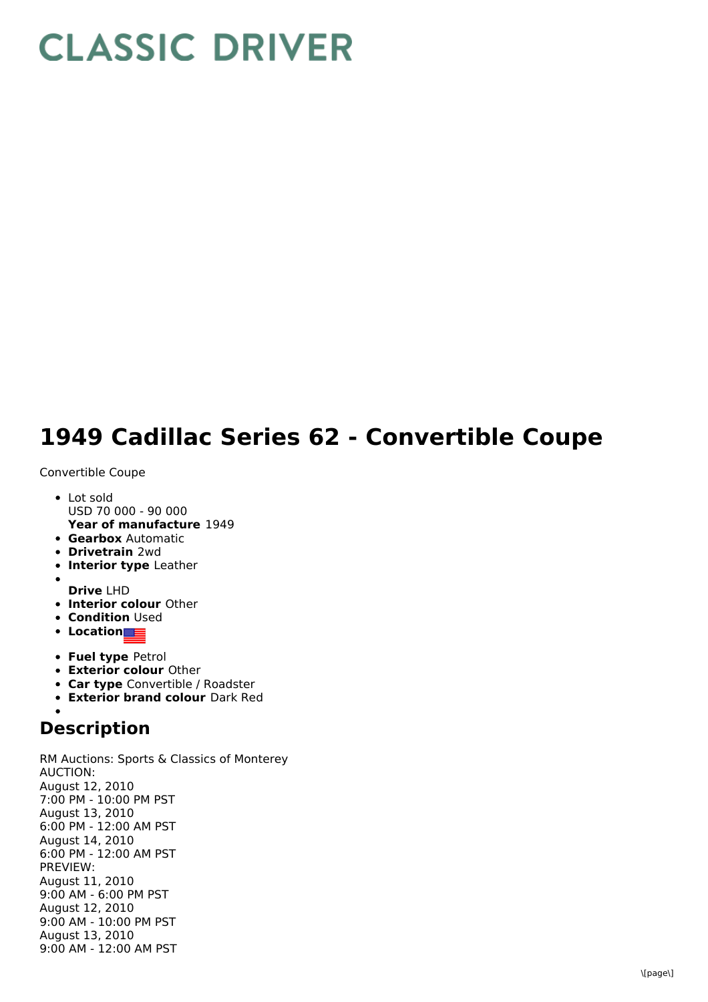## **CLASSIC DRIVER**

## **1949 Cadillac Series 62 - Convertible Coupe**

## Convertible Coupe

- **Year of manufacture** 1949 • Lot sold USD 70 000 - 90 000
- **Gearbox** Automatic
- **Drivetrain** 2wd
- **Interior type** Leather
- 
- **Drive** LHD
- **Interior colour** Other
- **Condition Used**
- **•** Location
- **Fuel type** Petrol
- **Exterior colour** Other
- **Car type** Convertible / Roadster
- **Exterior brand colour** Dark Red

## **Description**

RM Auctions: Sports & Classics of Monterey AUCTION: August 12, 2010 7:00 PM - 10:00 PM PST August 13, 2010 6:00 PM - 12:00 AM PST August 14, 2010 6:00 PM - 12:00 AM PST PREVIEW: August 11, 2010 9:00 AM - 6:00 PM PST August 12, 2010 9:00 AM - 10:00 PM PST August 13, 2010 9:00 AM - 12:00 AM PST